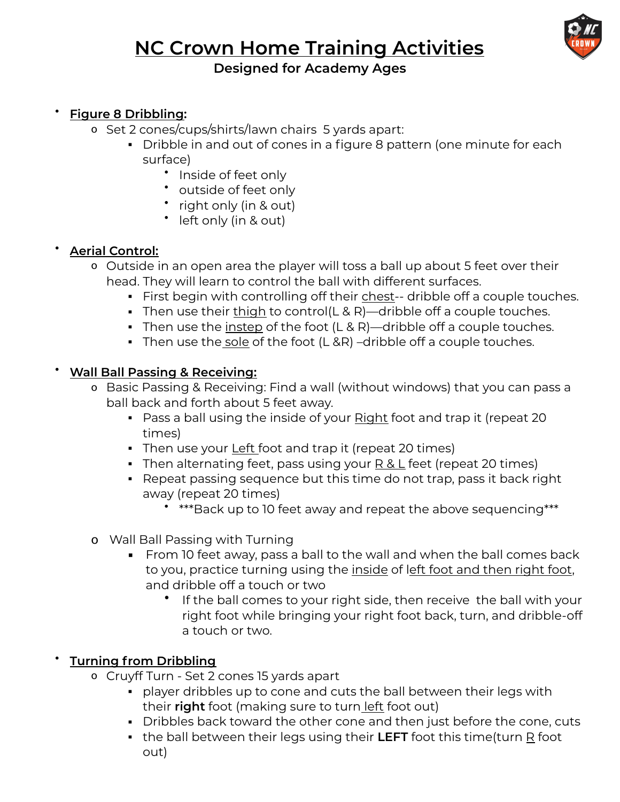# **NC Crown Home Training Activities**



# **Designed for Academy Ages**

#### • **Figure 8 Dribbling:**

- o Set 2 cones/cups/shirts/lawn chairs 5 yards apart:
	- Dribble in and out of cones in a figure 8 pattern (one minute for each surface)
		- Inside of feet only
		- outside of feet only
		- right only (in & out)
		- left only (in & out)

## • **Aerial Control:**

- o Outside in an open area the player will toss a ball up about 5 feet over their head. They will learn to control the ball with different surfaces.
	- **•** First begin with controlling off their chest-- dribble off a couple touches.
	- **•** Then use their thigh to control( $\angle$  & R)—dribble off a couple touches.
	- **•** Then use the instep of the foot  $(L & R)$ —dribble off a couple touches.
	- Then use the sole of the foot (L &R) –dribble off a couple touches.

#### • **Wall Ball Passing & Receiving:**

- o Basic Passing & Receiving: Find a wall (without windows) that you can pass a ball back and forth about 5 feet away.
	- Pass a ball using the inside of your Right foot and trap it (repeat 20 times)
	- Then use your Left foot and trap it (repeat 20 times)
	- Then alternating feet, pass using your R & L feet (repeat 20 times)
	- Repeat passing sequence but this time do not trap, pass it back right away (repeat 20 times)
		- \*\*\*Back up to 10 feet away and repeat the above sequencing\*\*\*
- o Wall Ball Passing with Turning
	- From 10 feet away, pass a ball to the wall and when the ball comes back to you, practice turning using the inside of left foot and then right foot, and dribble off a touch or two
		- If the ball comes to your right side, then receive the ball with your right foot while bringing your right foot back, turn, and dribble-off a touch or two.

## • **Turning from Dribbling**

- o Cruyff Turn Set 2 cones 15 yards apart
	- player dribbles up to cone and cuts the ball between their legs with their **right** foot (making sure to turn left foot out)
	- Dribbles back toward the other cone and then just before the cone, cuts
	- **.** the ball between their legs using their LEFT foot this time(turn R foot out)